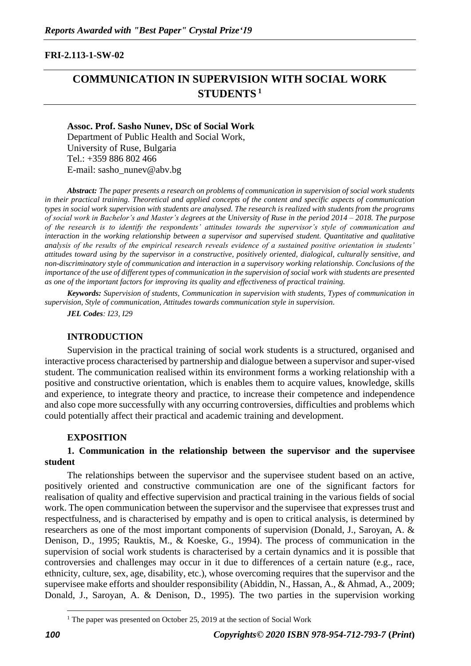#### **FRI-2.113-1-SW-02**

# **COMMUNICATION IN SUPERVISION WITH SOCIAL WORK STUDENTS <sup>1</sup>**

**Assoc. Prof. Sasho Nunev, DSc of Social Work** Department of Public Health and Social Work, University of Ruse, Bulgaria Tel.: +359 886 802 466 E-mail: sasho\_nunev@abv.bg

*Abstract: The paper presents a research on problems of communication in supervision of social work students in their practical training. Theoretical and applied concepts of the content and specific aspects of communication types in social work supervision with students are analysed. The research is realized with students from the programs of social work in Bachelor's and Master's degrees at the University of Ruse in the period 2014 – 2018. The purpose of the research is to identify the respondents' attitudes towards the supervisor's style of communication and interaction in the working relationship between a supervisor and supervised student. Quantitative and qualitative analysis of the results of the empirical research reveals evidence of a sustained positive orientation in students' attitudes toward using by the supervisor in a constructive, positively oriented, dialogical, culturally sensitive, and non-discriminatory style of communication and interaction in a supervisory working relationship. Conclusions of the importance of the use of different types of communication in the supervision of social work with students are presented as one of the important factors for improving its quality and effectiveness of practical training.*

*Keywords: Supervision of students, Communication in supervision with students, Types of communication in supervision, Style of communication, Attitudes towards communication style in supervision.*

*JEL Codes: I23, I29*

#### **INTRODUCTION**

Supervision in the practical training of social work students is a structured, organised and interactive process characterised by partnership and dialogue between a supervisor and super-vised student. The communication realised within its environment forms a working relationship with a positive and constructive orientation, which is enables them to acquire values, knowledge, skills and experience, to integrate theory and practice, to increase their competence and independence and also cope more successfully with any occurring controversies, difficulties and problems which could potentially affect their practical and academic training and development.

#### **EXPOSITION**

#### **1. Communication in the relationship between the supervisor and the supervisee student**

The relationships between the supervisor and the supervisee student based on an active, positively oriented and constructive communication are one of the significant factors for realisation of quality and effective supervision and practical training in the various fields of social work. The open communication between the supervisor and the supervisee that expresses trust and respectfulness, and is characterised by empathy and is open to critical analysis, is determined by researchers as one of the most important components of supervision (Donald, J., Saroyan, A. & Denison, D., 1995; Rauktis, M., & Koeske, G., 1994). The process of communication in the supervision of social work students is characterised by a certain dynamics and it is possible that controversies and challenges may occur in it due to differences of a certain nature (e.g., race, ethnicity, culture, sex, age, disability, etc.), whose overcoming requires that the supervisor and the supervisee make efforts and shoulder responsibility (Abiddin, N., Hassan, A., & Ahmad, A., 2009; Donald, J., Saroyan, A. & Denison, D., 1995). The two parties in the supervision working

<sup>&</sup>lt;sup>1</sup> The paper was presented on October 25, 2019 at the section of Social Work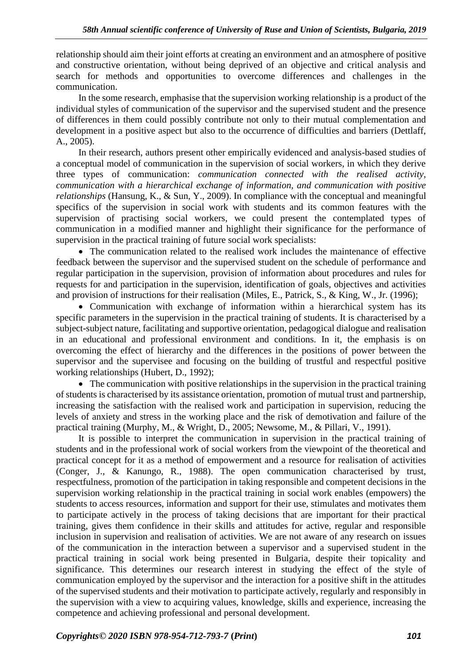relationship should aim their joint efforts at creating an environment and an atmosphere of positive and constructive orientation, without being deprived of an objective and critical analysis and search for methods and opportunities to overcome differences and challenges in the communication.

In the some research, emphasise that the supervision working relationship is a product of the individual styles of communication of the supervisor and the supervised student and the presence of differences in them could possibly contribute not only to their mutual complementation and development in a positive aspect but also to the occurrence of difficulties and barriers (Dettlaff, A., 2005).

In their research, authors present other empirically evidenced and analysis-based studies of a conceptual model of communication in the supervision of social workers, in which they derive three types of communication: *communication connected with the realised activity, communication with a hierarchical exchange of information, and communication with positive relationships* (Hansung, K., & Sun, Y., 2009). In compliance with the conceptual and meaningful specifics of the supervision in social work with students and its common features with the supervision of practising social workers, we could present the contemplated types of communication in a modified manner and highlight their significance for the performance of supervision in the practical training of future social work specialists:

• The communication related to the realised work includes the maintenance of effective feedback between the supervisor and the supervised student on the schedule of performance and regular participation in the supervision, provision of information about procedures and rules for requests for and participation in the supervision, identification of goals, objectives and activities and provision of instructions for their realisation (Miles, E., Patrick, S., & King, W., Jr. (1996);

• Communication with exchange of information within a hierarchical system has its specific parameters in the supervision in the practical training of students. It is characterised by a subject-subject nature, facilitating and supportive orientation, pedagogical dialogue and realisation in an educational and professional environment and conditions. In it, the emphasis is on overcoming the effect of hierarchy and the differences in the positions of power between the supervisor and the supervisee and focusing on the building of trustful and respectful positive working relationships (Hubert, D., 1992);

• The communication with positive relationships in the supervision in the practical training of students is characterised by its assistance orientation, promotion of mutual trust and partnership, increasing the satisfaction with the realised work and participation in supervision, reducing the levels of anxiety and stress in the working place and the risk of demotivation and failure of the practical training (Murphy, M., & Wright, D., 2005; Newsome, M., & Pillari, V., 1991).

It is possible to interpret the communication in supervision in the practical training of students and in the professional work of social workers from the viewpoint of the theoretical and practical concept for it as a method of empowerment and a resource for realisation of activities (Conger, J., & Kanungo, R., 1988). The open communication characterised by trust, respectfulness, promotion of the participation in taking responsible and competent decisions in the supervision working relationship in the practical training in social work enables (empowers) the students to access resources, information and support for their use, stimulates and motivates them to participate actively in the process of taking decisions that are important for their practical training, gives them confidence in their skills and attitudes for active, regular and responsible inclusion in supervision and realisation of activities. We are not aware of any research on issues of the communication in the interaction between a supervisor and a supervised student in the practical training in social work being presented in Bulgaria, despite their topicality and significance. This determines our research interest in studying the effect of the style of communication employed by the supervisor and the interaction for a positive shift in the attitudes of the supervised students and their motivation to participate actively, regularly and responsibly in the supervision with a view to acquiring values, knowledge, skills and experience, increasing the competence and achieving professional and personal development.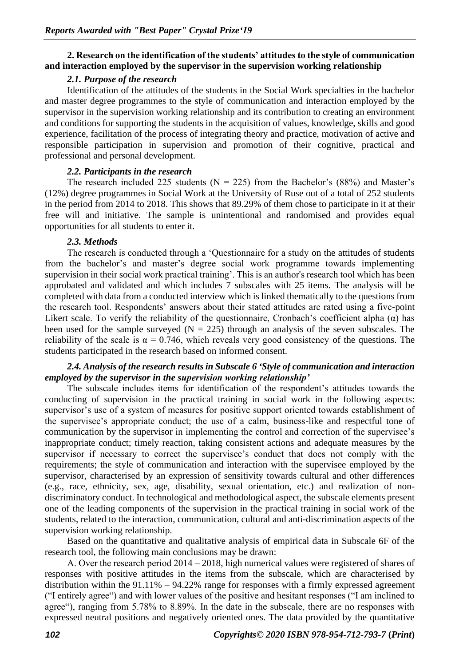# **2. Research on the identification of the students' attitudes to the style of communication and interaction employed by the supervisor in the supervision working relationship**

# *2.1. Purpose of the research*

Identification of the attitudes of the students in the Social Work specialties in the bachelor and master degree programmes to the style of communication and interaction employed by the supervisor in the supervision working relationship and its contribution to creating an environment and conditions for supporting the students in the acquisition of values, knowledge, skills and good experience, facilitation of the process of integrating theory and practice, motivation of active and responsible participation in supervision and promotion of their cognitive, practical and professional and personal development.

#### *2.2. Participants in the research*

The research included 225 students ( $N = 225$ ) from the Bachelor's (88%) and Master's (12%) degree programmes in Social Work at the University of Ruse out of a total of 252 students in the period from 2014 to 2018. This shows that 89.29% of them chose to participate in it at their free will and initiative. The sample is unintentional and randomised and provides equal opportunities for all students to enter it.

### *2.3. Methods*

The research is conducted through a 'Questionnaire for a study on the attitudes of students from the bachelor's and master's degree social work programme towards implementing supervision in their social work practical training'. This is an author's research tool which has been approbated and validated and which includes 7 subscales with 25 items. The analysis will be completed with data from a conducted interview which is linked thematically to the questions from the research tool. Respondents' answers about their stated attitudes are rated using a five-point Likert scale. To verify the reliability of the questionnaire, Cronbach's coefficient alpha  $(\alpha)$  has been used for the sample surveyed  $(N = 225)$  through an analysis of the seven subscales. The reliability of the scale is  $\alpha = 0.746$ , which reveals very good consistency of the questions. The students participated in the research based on informed consent.

# *2.4. Analysis of the research results in Subscale 6 'Style of communication and interaction employed by the supervisor in the supervision working relationship'*

The subscale includes items for identification of the respondent's attitudes towards the conducting of supervision in the practical training in social work in the following aspects: supervisor's use of a system of measures for positive support oriented towards establishment of the supervisee's appropriate conduct; the use of a calm, business-like and respectful tone of communication by the supervisor in implementing the control and correction of the supervisee's inappropriate conduct; timely reaction, taking consistent actions and adequate measures by the supervisor if necessary to correct the supervisee's conduct that does not comply with the requirements; the style of communication and interaction with the supervisee employed by the supervisor, characterised by an expression of sensitivity towards cultural and other differences (e.g., race, ethnicity, sex, age, disability, sexual orientation, etc.) and realization of nondiscriminatory conduct. In technological and methodological aspect, the subscale elements present one of the leading components of the supervision in the practical training in social work of the students, related to the interaction, communication, cultural and anti-discrimination aspects of the supervision working relationship.

Based on the quantitative and qualitative analysis of empirical data in Subscale 6F of the research tool, the following main conclusions may be drawn:

А. Over the research period 2014 – 2018, high numerical values were registered of shares of responses with positive attitudes in the items from the subscale, which are characterised by distribution within the  $91.11\% - 94.22\%$  range for responses with a firmly expressed agreement ("I entirely agree") and with lower values of the positive and hesitant responses ("I am inclined to agree"), ranging from 5.78% to 8.89%. In the date in the subscale, there are no responses with expressed neutral positions and negatively oriented ones. The data provided by the quantitative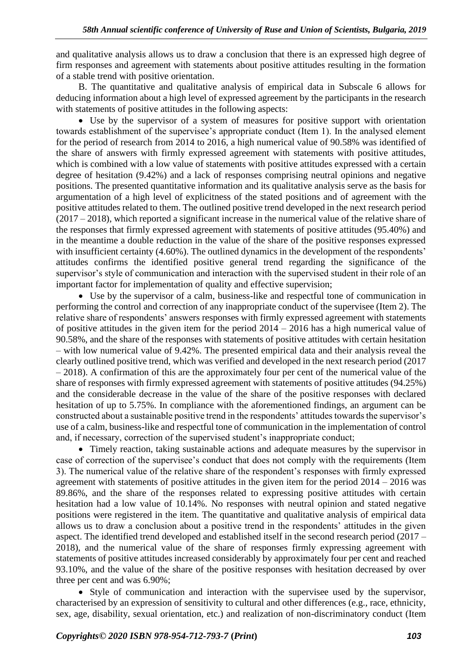and qualitative analysis allows us to draw a conclusion that there is an expressed high degree of firm responses and agreement with statements about positive attitudes resulting in the formation of a stable trend with positive orientation.

B. The quantitative and qualitative analysis of empirical data in Subscale 6 allows for deducing information about a high level of expressed agreement by the participants in the research with statements of positive attitudes in the following aspects:

• Use by the supervisor of a system of measures for positive support with orientation towards establishment of the supervisee's appropriate conduct (Item 1). In the analysed element for the period of research from 2014 to 2016, a high numerical value of 90.58% was identified of the share of answers with firmly expressed agreement with statements with positive attitudes, which is combined with a low value of statements with positive attitudes expressed with a certain degree of hesitation (9.42%) and a lack of responses comprising neutral opinions and negative positions. The presented quantitative information and its qualitative analysis serve as the basis for argumentation of a high level of explicitness of the stated positions and of agreement with the positive attitudes related to them. The outlined positive trend developed in the next research period (2017 – 2018), which reported a significant increase in the numerical value of the relative share of the responses that firmly expressed agreement with statements of positive attitudes (95.40%) and in the meantime a double reduction in the value of the share of the positive responses expressed with insufficient certainty (4.60%). The outlined dynamics in the development of the respondents' attitudes confirms the identified positive general trend regarding the significance of the supervisor's style of communication and interaction with the supervised student in their role of an important factor for implementation of quality and effective supervision;

• Use by the supervisor of a calm, business-like and respectful tone of communication in performing the control and correction of any inappropriate conduct of the supervisee (Item 2). The relative share of respondents' answers responses with firmly expressed agreement with statements of positive attitudes in the given item for the period  $2014 - 2016$  has a high numerical value of 90.58%, and the share of the responses with statements of positive attitudes with certain hesitation – with low numerical value of 9.42%. The presented empirical data and their analysis reveal the clearly outlined positive trend, which was verified and developed in the next research period (2017 – 2018). A confirmation of this are the approximately four per cent of the numerical value of the share of responses with firmly expressed agreement with statements of positive attitudes (94.25%) and the considerable decrease in the value of the share of the positive responses with declared hesitation of up to 5.75%. In compliance with the aforementioned findings, an argument can be constructed about a sustainable positive trend in the respondents' attitudes towards the supervisor's use of a calm, business-like and respectful tone of communication in the implementation of control and, if necessary, correction of the supervised student's inappropriate conduct;

• Timely reaction, taking sustainable actions and adequate measures by the supervisor in case of correction of the supervisee's conduct that does not comply with the requirements (Item 3). The numerical value of the relative share of the respondent's responses with firmly expressed agreement with statements of positive attitudes in the given item for the period  $2014 - 2016$  was 89.86%, and the share of the responses related to expressing positive attitudes with certain hesitation had a low value of 10.14%. No responses with neutral opinion and stated negative positions were registered in the item. The quantitative and qualitative analysis of empirical data allows us to draw a conclusion about a positive trend in the respondents' attitudes in the given aspect. The identified trend developed and established itself in the second research period (2017 – 2018), and the numerical value of the share of responses firmly expressing agreement with statements of positive attitudes increased considerably by approximately four per cent and reached 93.10%, and the value of the share of the positive responses with hesitation decreased by over three per cent and was 6.90%;

• Style of communication and interaction with the supervisee used by the supervisor, characterised by an expression of sensitivity to cultural and other differences (e.g., race, ethnicity, sex, age, disability, sexual orientation, etc.) and realization of non-discriminatory conduct (Item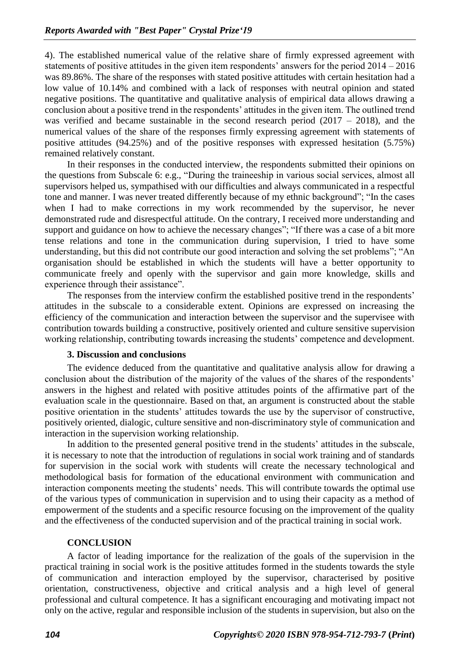4). The established numerical value of the relative share of firmly expressed agreement with statements of positive attitudes in the given item respondents' answers for the period 2014 – 2016 was 89.86%. The share of the responses with stated positive attitudes with certain hesitation had a low value of 10.14% and combined with a lack of responses with neutral opinion and stated negative positions. The quantitative and qualitative analysis of empirical data allows drawing a conclusion about a positive trend in the respondents' attitudes in the given item. The outlined trend was verified and became sustainable in the second research period  $(2017 - 2018)$ , and the numerical values of the share of the responses firmly expressing agreement with statements of positive attitudes (94.25%) and of the positive responses with expressed hesitation (5.75%) remained relatively constant.

In their responses in the conducted interview, the respondents submitted their opinions on the questions from Subscale 6: e.g., "During the traineeship in various social services, almost all supervisors helped us, sympathised with our difficulties and always communicated in a respectful tone and manner. I was never treated differently because of my ethnic background"; "In the cases when I had to make corrections in my work recommended by the supervisor, he never demonstrated rude and disrespectful attitude. On the contrary, I received more understanding and support and guidance on how to achieve the necessary changes"; "If there was a case of a bit more tense relations and tone in the communication during supervision, I tried to have some understanding, but this did not contribute our good interaction and solving the set problems"; "An organisation should be established in which the students will have a better opportunity to communicate freely and openly with the supervisor and gain more knowledge, skills and experience through their assistance".

The responses from the interview confirm the established positive trend in the respondents' attitudes in the subscale to a considerable extent. Opinions are expressed on increasing the efficiency of the communication and interaction between the supervisor and the supervisee with contribution towards building a constructive, positively oriented and culture sensitive supervision working relationship, contributing towards increasing the students' competence and development.

#### **3. Discussion and conclusions**

The evidence deduced from the quantitative and qualitative analysis allow for drawing a conclusion about the distribution of the majority of the values of the shares of the respondents' answers in the highest and related with positive attitudes points of the affirmative part of the evaluation scale in the questionnaire. Based on that, an argument is constructed about the stable positive orientation in the students' attitudes towards the use by the supervisor of constructive, positively oriented, dialogic, culture sensitive and non-discriminatory style of communication and interaction in the supervision working relationship.

In addition to the presented general positive trend in the students' attitudes in the subscale, it is necessary to note that the introduction of regulations in social work training and of standards for supervision in the social work with students will create the necessary technological and methodological basis for formation of the educational environment with communication and interaction components meeting the students' needs. This will contribute towards the optimal use of the various types of communication in supervision and to using their capacity as a method of empowerment of the students and a specific resource focusing on the improvement of the quality and the effectiveness of the conducted supervision and of the practical training in social work.

### **CONCLUSION**

A factor of leading importance for the realization of the goals of the supervision in the practical training in social work is the positive attitudes formed in the students towards the style of communication and interaction employed by the supervisor, characterised by positive orientation, constructiveness, objective and critical analysis and a high level of general professional and cultural competence. It has a significant encouraging and motivating impact not only on the active, regular and responsible inclusion of the students in supervision, but also on the